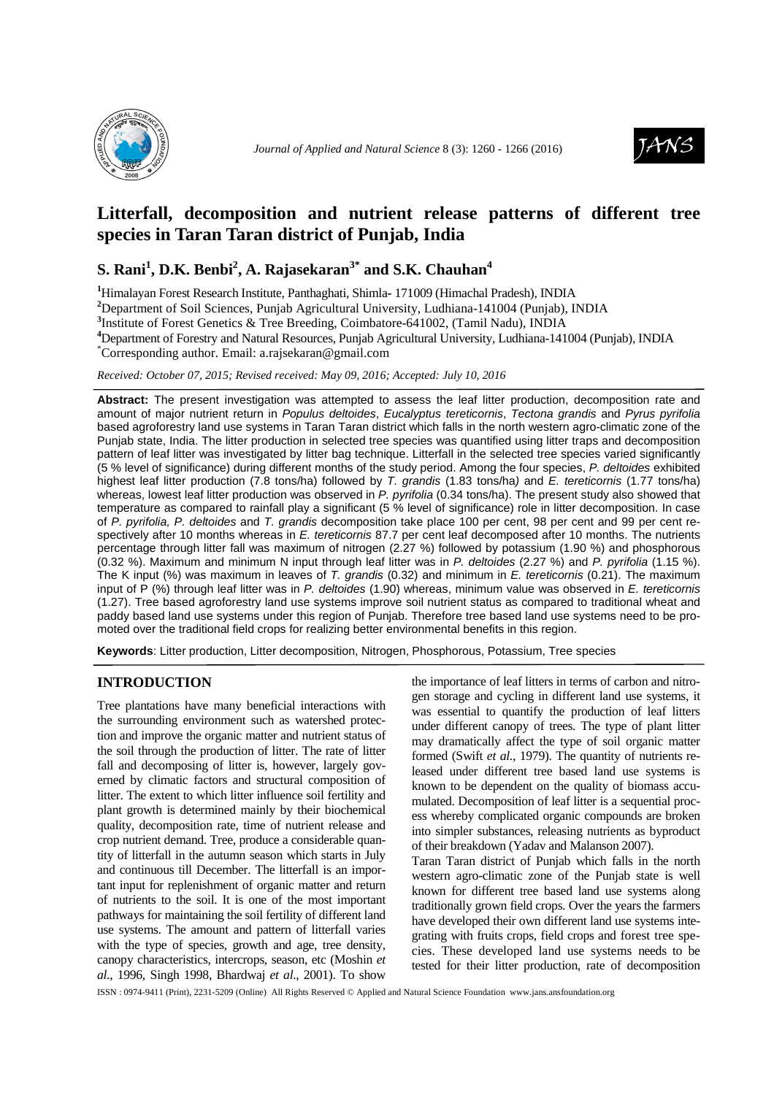

*Journal of Applied and Natural Science 8 (3):* 1260 - 1266 (2016)



# **Litterfall, decomposition and nutrient release patterns of different tree species in Taran Taran district of Punjab, India**

## **S. Rani<sup>1</sup> , D.K. Benbi<sup>2</sup> , A. Rajasekaran3\* and S.K. Chauhan<sup>4</sup>**

**<sup>1</sup>**Himalayan Forest Research Institute, Panthaghati, Shimla**-** 171009 (Himachal Pradesh), INDIA

**<sup>2</sup>**Department of Soil Sciences, Punjab Agricultural University, Ludhiana-141004 (Punjab), INDIA

**3** Institute of Forest Genetics & Tree Breeding, Coimbatore-641002, (Tamil Nadu), INDIA

**<sup>4</sup>**Department of Forestry and Natural Resources, Punjab Agricultural University, Ludhiana-141004 (Punjab), INDIA

\*Corresponding author. Email: a.rajsekaran@gmail.com

*Received: October 07, 2015; Revised received: May 09, 2016; Accepted: July 10, 2016*

**Abstract:** The present investigation was attempted to assess the leaf litter production, decomposition rate and amount of major nutrient return in Populus deltoides, Eucalyptus tereticornis, Tectona grandis and Pyrus pyrifolia based agroforestry land use systems in Taran Taran district which falls in the north western agro-climatic zone of the Punjab state, India. The litter production in selected tree species was quantified using litter traps and decomposition pattern of leaf litter was investigated by litter bag technique. Litterfall in the selected tree species varied significantly (5 % level of significance) during different months of the study period. Among the four species, P. deltoides exhibited highest leaf litter production (7.8 tons/ha) followed by T. grandis (1.83 tons/ha) and E. tereticornis (1.77 tons/ha) whereas, lowest leaf litter production was observed in P. pyrifolia (0.34 tons/ha). The present study also showed that temperature as compared to rainfall play a significant (5 % level of significance) role in litter decomposition. In case of P. pyrifolia, P. deltoides and T. grandis decomposition take place 100 per cent, 98 per cent and 99 per cent respectively after 10 months whereas in E. tereticornis 87.7 per cent leaf decomposed after 10 months. The nutrients percentage through litter fall was maximum of nitrogen (2.27 %) followed by potassium (1.90 %) and phosphorous (0.32 %). Maximum and minimum N input through leaf litter was in P. deltoides (2.27 %) and P. pyrifolia (1.15 %). The K input (%) was maximum in leaves of T. grandis (0.32) and minimum in E. tereticornis (0.21). The maximum input of P (%) through leaf litter was in P. deltoides (1.90) whereas, minimum value was observed in E. tereticornis (1.27). Tree based agroforestry land use systems improve soil nutrient status as compared to traditional wheat and paddy based land use systems under this region of Punjab. Therefore tree based land use systems need to be promoted over the traditional field crops for realizing better environmental benefits in this region.

**Keywords**: Litter production, Litter decomposition, Nitrogen, Phosphorous, Potassium, Tree species

### **INTRODUCTION**

Tree plantations have many beneficial interactions with the surrounding environment such as watershed protection and improve the organic matter and nutrient status of the soil through the production of litter. The rate of litter fall and decomposing of litter is, however, largely governed by climatic factors and structural composition of litter. The extent to which litter influence soil fertility and plant growth is determined mainly by their biochemical quality, decomposition rate, time of nutrient release and crop nutrient demand. Tree, produce a considerable quantity of litterfall in the autumn season which starts in July and continuous till December. The litterfall is an important input for replenishment of organic matter and return of nutrients to the soil. It is one of the most important pathways for maintaining the soil fertility of different land use systems. The amount and pattern of litterfall varies with the type of species, growth and age, tree density, canopy characteristics, intercrops, season, etc (Moshin *et al*., 1996, Singh 1998, Bhardwaj *et al*., 2001). To show

the importance of leaf litters in terms of carbon and nitrogen storage and cycling in different land use systems, it was essential to quantify the production of leaf litters under different canopy of trees. The type of plant litter may dramatically affect the type of soil organic matter formed (Swift *et al*., 1979). The quantity of nutrients released under different tree based land use systems is known to be dependent on the quality of biomass accumulated. Decomposition of leaf litter is a sequential process whereby complicated organic compounds are broken into simpler substances, releasing nutrients as byproduct of their breakdown (Yadav and Malanson 2007).

Taran Taran district of Punjab which falls in the north western agro-climatic zone of the Punjab state is well known for different tree based land use systems along traditionally grown field crops. Over the years the farmers have developed their own different land use systems integrating with fruits crops, field crops and forest tree species. These developed land use systems needs to be tested for their litter production, rate of decomposition

ISSN : 0974-9411 (Print), 2231-5209 (Online) All Rights Reserved © Applied and Natural Science Foundation www.jans.ansfoundation.org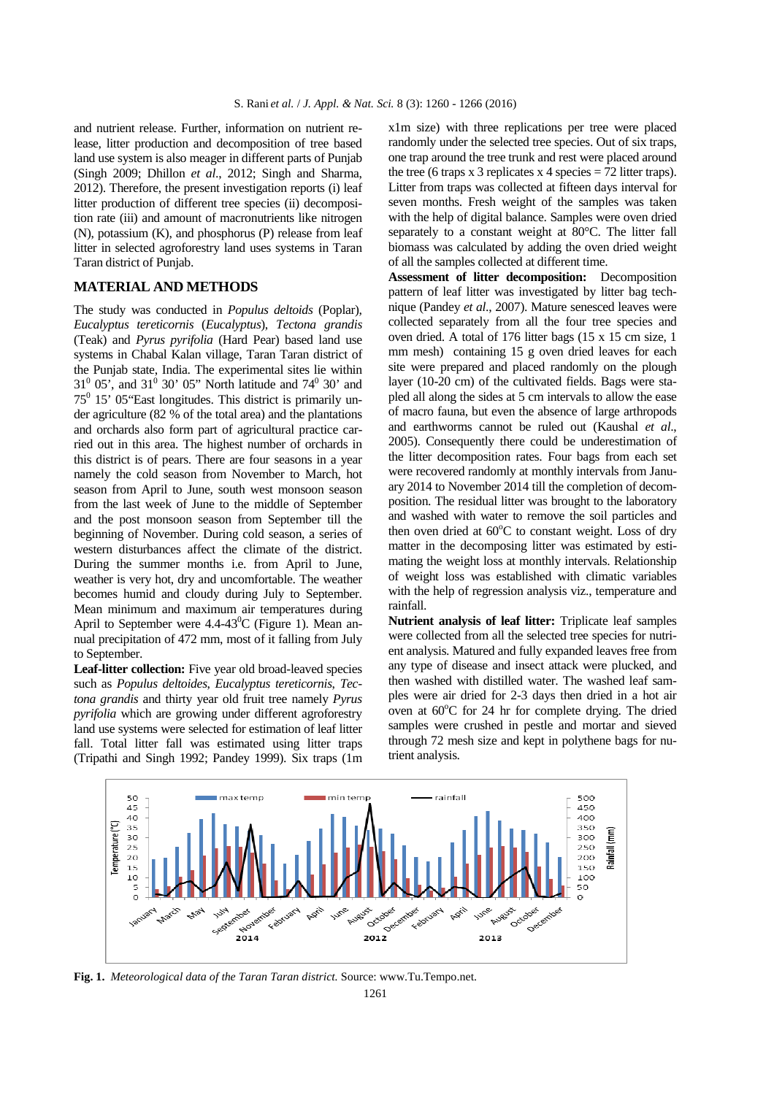and nutrient release. Further, information on nutrient release, litter production and decomposition of tree based land use system is also meager in different parts of Punjab (Singh 2009; Dhillon *et al*., 2012; Singh and Sharma, 2012). Therefore, the present investigation reports (i) leaf litter production of different tree species (ii) decomposition rate (iii) and amount of macronutrients like nitrogen (N), potassium (K), and phosphorus (P) release from leaf litter in selected agroforestry land uses systems in Taran Taran district of Punjab.

### **MATERIAL AND METHODS**

The study was conducted in *Populus deltoids* (Poplar), *Eucalyptus tereticornis* (*Eucalyptus*), *Tectona grandis* (Teak) and *Pyrus pyrifolia* (Hard Pear) based land use systems in Chabal Kalan village, Taran Taran district of the Punjab state, India. The experimental sites lie within  $31^{\circ}$  05', and  $31^{\circ}$  30' 05" North latitude and 74 $^{\circ}$  30' and  $75^0$  15' 05"East longitudes. This district is primarily under agriculture (82 % of the total area) and the plantations and orchards also form part of agricultural practice carried out in this area. The highest number of orchards in this district is of pears. There are four seasons in a year namely the cold season from November to March, hot season from April to June, south west monsoon season from the last week of June to the middle of September and the post monsoon season from September till the beginning of November. During cold season, a series of western disturbances affect the climate of the district. During the summer months i.e. from April to June, weather is very hot, dry and uncomfortable. The weather becomes humid and cloudy during July to September. Mean minimum and maximum air temperatures during April to September were  $4.4\n-43^{\circ}$ C (Figure 1). Mean annual precipitation of 472 mm, most of it falling from July to September.

**Leaf-litter collection:** Five year old broad-leaved species such as *Populus deltoides*, *Eucalyptus tereticornis*, *Tectona grandis* and thirty year old fruit tree namely *Pyrus pyrifolia* which are growing under different agroforestry land use systems were selected for estimation of leaf litter fall. Total litter fall was estimated using litter traps (Tripathi and Singh 1992; Pandey 1999). Six traps (1m

x1m size) with three replications per tree were placed randomly under the selected tree species. Out of six traps, one trap around the tree trunk and rest were placed around the tree (6 traps x 3 replicates x 4 species  $= 72$  litter traps). Litter from traps was collected at fifteen days interval for seven months. Fresh weight of the samples was taken with the help of digital balance. Samples were oven dried separately to a constant weight at 80°C. The litter fall biomass was calculated by adding the oven dried weight of all the samples collected at different time.

**Assessment of litter decomposition:** Decomposition pattern of leaf litter was investigated by litter bag technique (Pandey *et al*., 2007). Mature senesced leaves were collected separately from all the four tree species and oven dried. A total of 176 litter bags (15 x 15 cm size, 1 mm mesh) containing 15 g oven dried leaves for each site were prepared and placed randomly on the plough layer (10-20 cm) of the cultivated fields. Bags were stapled all along the sides at 5 cm intervals to allow the ease of macro fauna, but even the absence of large arthropods and earthworms cannot be ruled out (Kaushal *et al*., 2005). Consequently there could be underestimation of the litter decomposition rates. Four bags from each set were recovered randomly at monthly intervals from January 2014 to November 2014 till the completion of decomposition. The residual litter was brought to the laboratory and washed with water to remove the soil particles and then oven dried at  $60^{\circ}$ C to constant weight. Loss of dry matter in the decomposing litter was estimated by estimating the weight loss at monthly intervals. Relationship of weight loss was established with climatic variables with the help of regression analysis viz., temperature and rainfall.

**Nutrient analysis of leaf litter:** Triplicate leaf samples were collected from all the selected tree species for nutrient analysis. Matured and fully expanded leaves free from any type of disease and insect attack were plucked, and then washed with distilled water. The washed leaf samples were air dried for 2-3 days then dried in a hot air oven at  $60^{\circ}$ C for 24 hr for complete drying. The dried samples were crushed in pestle and mortar and sieved through 72 mesh size and kept in polythene bags for nutrient analysis.



**Fig. 1.** *Meteorological data of the Taran Taran district.* Source: www.Tu.Tempo.net.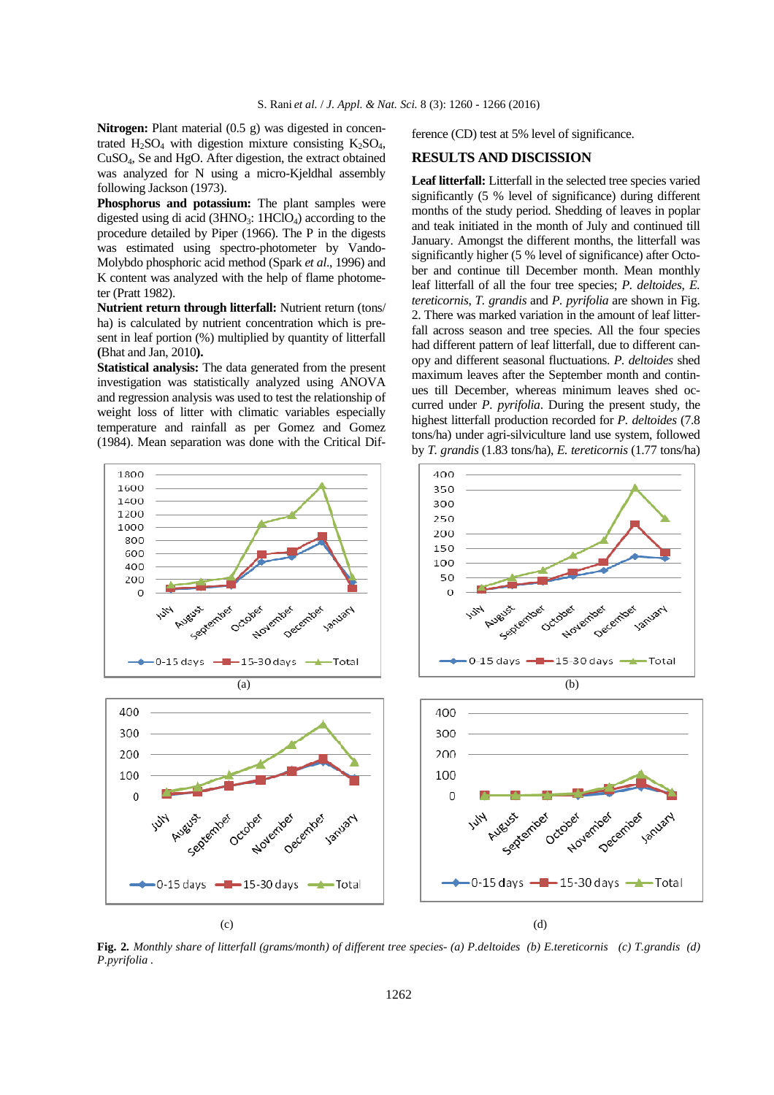**Nitrogen:** Plant material (0.5 g) was digested in concentrated  $H_2SO_4$  with digestion mixture consisting  $K_2SO_4$ , CuSO4, Se and HgO. After digestion, the extract obtained was analyzed for N using a micro-Kjeldhal assembly following Jackson (1973).

Phosphorus and potassium: The plant samples were digested using di acid  $(3HNO<sub>3</sub>: 1HClO<sub>4</sub>)$  according to the procedure detailed by Piper (1966). The P in the digests was estimated using spectro-photometer by Vando-Molybdo phosphoric acid method (Spark *et al*., 1996) and K content was analyzed with the help of flame photometer (Pratt 1982).

**Nutrient return through litterfall:** Nutrient return (tons/ ha) is calculated by nutrient concentration which is present in leaf portion (%) multiplied by quantity of litterfall **(**Bhat and Jan, 2010**).** 

**Statistical analysis:** The data generated from the present investigation was statistically analyzed using ANOVA and regression analysis was used to test the relationship of weight loss of litter with climatic variables especially temperature and rainfall as per Gomez and Gomez (1984). Mean separation was done with the Critical Difference (CD) test at 5% level of significance.

#### **RESULTS AND DISCISSION**

**Leaf litterfall:** Litterfall in the selected tree species varied significantly (5 % level of significance) during different months of the study period. Shedding of leaves in poplar and teak initiated in the month of July and continued till January. Amongst the different months, the litterfall was significantly higher (5 % level of significance) after October and continue till December month. Mean monthly leaf litterfall of all the four tree species; *P. deltoides*, *E. tereticornis*, *T. grandis* and *P. pyrifolia* are shown in Fig. 2. There was marked variation in the amount of leaf litterfall across season and tree species. All the four species had different pattern of leaf litterfall, due to different canopy and different seasonal fluctuations. *P. deltoides* shed maximum leaves after the September month and continues till December, whereas minimum leaves shed occurred under *P. pyrifolia*. During the present study, the highest litterfall production recorded for *P. deltoides* (7.8 tons/ha) under agri-silviculture land use system, followed by *T. grandis* (1.83 tons/ha), *E. tereticornis* (1.77 tons/ha)



**Fig. 2***. Monthly share of litterfall (grams/month) of different tree species- (a) P.deltoides (b) E.tereticornis (c) T.grandis (d) P.pyrifolia .*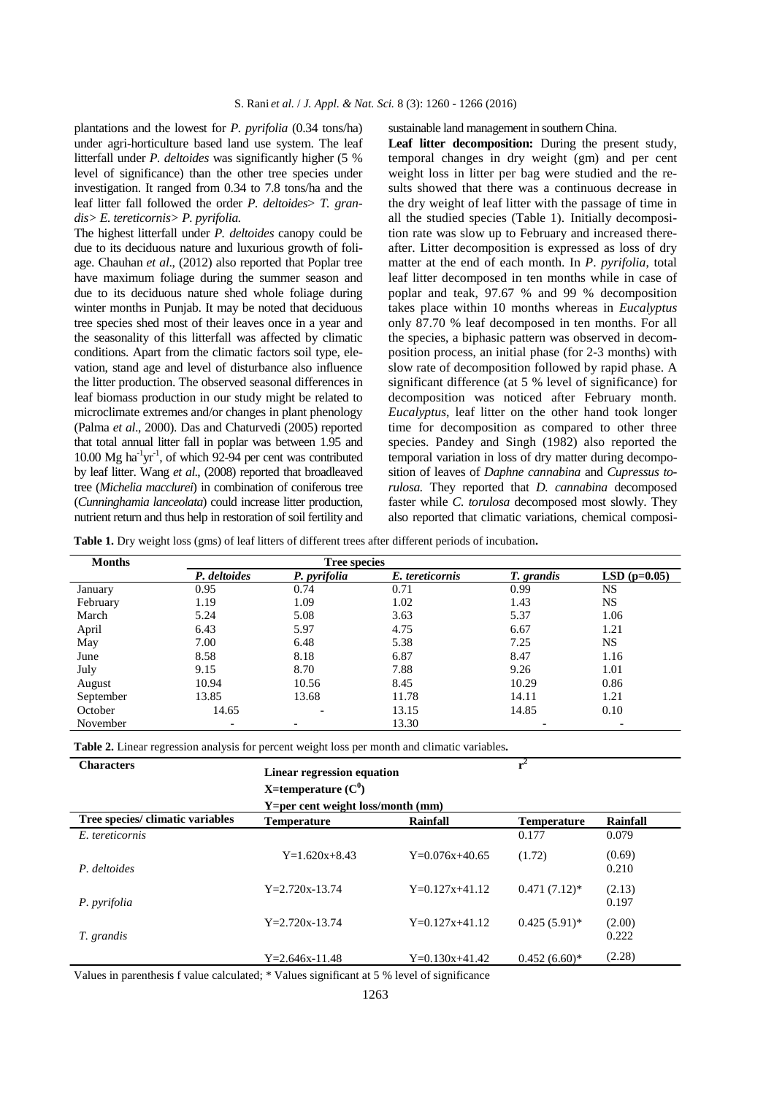plantations and the lowest for *P. pyrifolia* (0.34 tons/ha) under agri-horticulture based land use system. The leaf litterfall under *P. deltoides* was significantly higher (5 % level of significance) than the other tree species under investigation. It ranged from 0.34 to 7.8 tons/ha and the leaf litter fall followed the order *P. deltoides*> *T. grandis> E. tereticornis> P. pyrifolia.* 

The highest litterfall under *P. deltoides* canopy could be due to its deciduous nature and luxurious growth of foliage. Chauhan *et al*., (2012) also reported that Poplar tree have maximum foliage during the summer season and due to its deciduous nature shed whole foliage during winter months in Punjab. It may be noted that deciduous tree species shed most of their leaves once in a year and the seasonality of this litterfall was affected by climatic conditions. Apart from the climatic factors soil type, elevation, stand age and level of disturbance also influence the litter production. The observed seasonal differences in leaf biomass production in our study might be related to microclimate extremes and/or changes in plant phenology (Palma *et al*., 2000). Das and Chaturvedi (2005) reported that total annual litter fall in poplar was between 1.95 and 10.00  $\text{Mg}$  ha<sup>-1</sup>yr<sup>-1</sup>, of which 92-94 per cent was contributed by leaf litter. Wang *et al*., (2008) reported that broadleaved tree (*Michelia macclurei*) in combination of coniferous tree (*Cunninghamia lanceolata*) could increase litter production, nutrient return and thus help in restoration of soil fertility and sustainable land management in southern China.

Leaf litter decomposition: During the present study, temporal changes in dry weight (gm) and per cent weight loss in litter per bag were studied and the results showed that there was a continuous decrease in the dry weight of leaf litter with the passage of time in all the studied species (Table 1). Initially decomposition rate was slow up to February and increased thereafter. Litter decomposition is expressed as loss of dry matter at the end of each month. In *P*. *pyrifolia*, total leaf litter decomposed in ten months while in case of poplar and teak, 97.67 % and 99 % decomposition takes place within 10 months whereas in *Eucalyptus* only 87.70 % leaf decomposed in ten months. For all the species, a biphasic pattern was observed in decomposition process, an initial phase (for 2-3 months) with slow rate of decomposition followed by rapid phase. A significant difference (at 5 % level of significance) for decomposition was noticed after February month. *Eucalyptus*, leaf litter on the other hand took longer time for decomposition as compared to other three species. Pandey and Singh (1982) also reported the temporal variation in loss of dry matter during decomposition of leaves of *Daphne cannabina* and *Cupressus torulosa.* They reported that *D. cannabina* decomposed faster while *C. torulosa* decomposed most slowly. They also reported that climatic variations, chemical composi-

**Table 1.** Dry weight loss (gms) of leaf litters of different trees after different periods of incubation**.** 

| <b>Months</b> | <b>Tree species</b> |              |                 |            |               |  |
|---------------|---------------------|--------------|-----------------|------------|---------------|--|
|               | P. deltoides        | P. pyrifolia | E. tereticornis | T. grandis | $LSD(p=0.05)$ |  |
| January       | 0.95                | 0.74         | 0.71            | 0.99       | NS            |  |
| February      | 1.19                | 1.09         | 1.02            | 1.43       | NS            |  |
| March         | 5.24                | 5.08         | 3.63            | 5.37       | 1.06          |  |
| April         | 6.43                | 5.97         | 4.75            | 6.67       | 1.21          |  |
| May           | 7.00                | 6.48         | 5.38            | 7.25       | <b>NS</b>     |  |
| June          | 8.58                | 8.18         | 6.87            | 8.47       | 1.16          |  |
| July          | 9.15                | 8.70         | 7.88            | 9.26       | 1.01          |  |
| August        | 10.94               | 10.56        | 8.45            | 10.29      | 0.86          |  |
| September     | 13.85               | 13.68        | 11.78           | 14.11      | 1.21          |  |
| October       | 14.65               |              | 13.15           | 14.85      | 0.10          |  |
| November      |                     |              | 13.30           |            |               |  |

**Table 2.** Linear regression analysis for percent weight loss per month and climatic variables**.** 

| <b>Characters</b>                | $r^2$<br>Linear regression equation<br>X=temperature $(C^0)$<br>$Y=per$ cent weight loss/month (mm) |                  |                    |                 |
|----------------------------------|-----------------------------------------------------------------------------------------------------|------------------|--------------------|-----------------|
| Tree species/ climatic variables | <b>Temperature</b>                                                                                  | Rainfall         | <b>Temperature</b> | Rainfall        |
| E. tereticornis                  |                                                                                                     |                  | 0.177              | 0.079           |
| P. deltoides                     | $Y=1.620x+8.43$                                                                                     | $Y=0.076x+40.65$ | (1.72)             | (0.69)<br>0.210 |
| P. pyrifolia                     | $Y = 2.720x - 13.74$                                                                                | $Y=0.127x+41.12$ | $0.471(7.12)^*$    | (2.13)<br>0.197 |
| T. grandis                       | $Y = 2.720x - 13.74$                                                                                | $Y=0.127x+41.12$ | $0.425(5.91)$ *    | (2.00)<br>0.222 |
|                                  | $Y = 2.646x - 11.48$                                                                                | $Y=0.130x+41.42$ | $0.452(6.60)*$     | (2.28)          |

Values in parenthesis f value calculated; \* Values significant at 5 % level of significance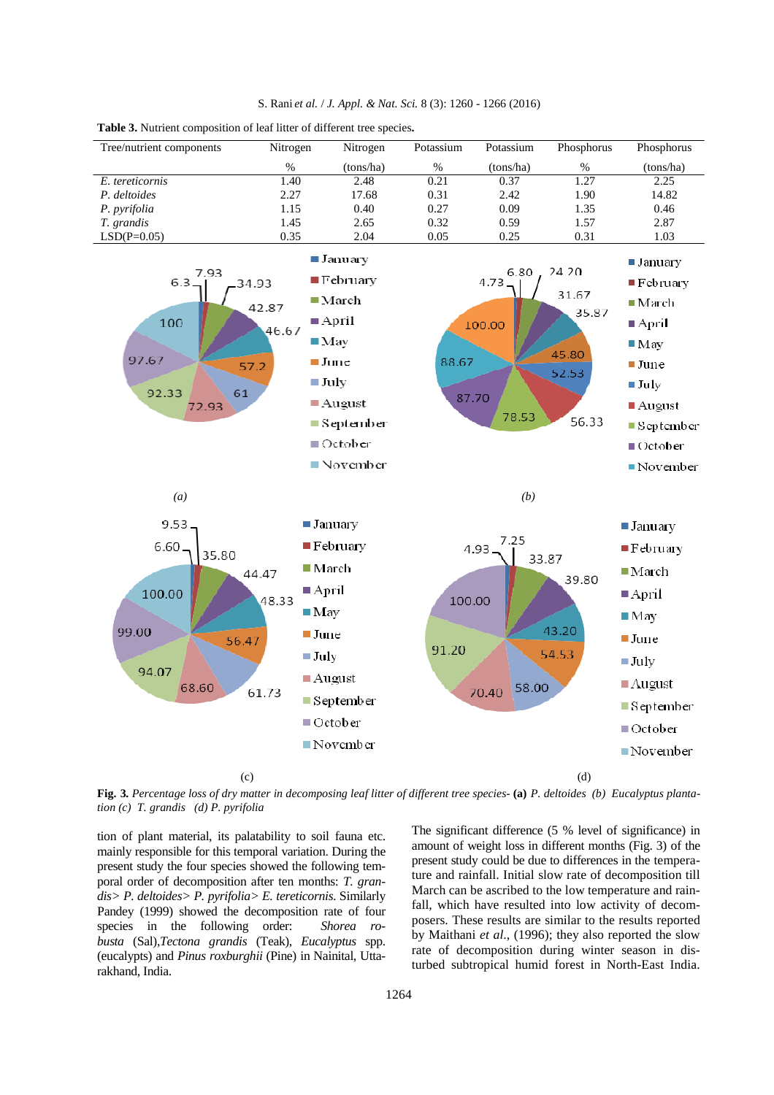

**Table 3.** Nutrient composition of leaf litter of different tree species**.** 

**Fig. 3***. Percentage loss of dry matter in decomposing leaf litter of different tree species-* **(a)** *P. deltoides (b) Eucalyptus plantation (c) T. grandis (d) P. pyrifolia* 

tion of plant material, its palatability to soil fauna etc. mainly responsible for this temporal variation. During the present study the four species showed the following temporal order of decomposition after ten months: *T. grandis> P. deltoides> P. pyrifolia> E. tereticornis*. Similarly Pandey (1999) showed the decomposition rate of four species in the following order: *Shorea busta* (Sal),*Tectona grandis* (Teak), *Eucalyptus* spp. (eucalypts) and *Pinus roxburghii* (Pine) in Nainital, Uttarakhand, India.

The significant difference (5 % level of significance) in amount of weight loss in different months (Fig. 3) of the present study could be due to differences in the temperature and rainfall. Initial slow rate of decomposition till March can be ascribed to the low temperature and rainfall, which have resulted into low activity of decomposers. These results are similar to the results reported by Maithani *et al*., (1996); they also reported the slow rate of decomposition during winter season in disturbed subtropical humid forest in North-East India.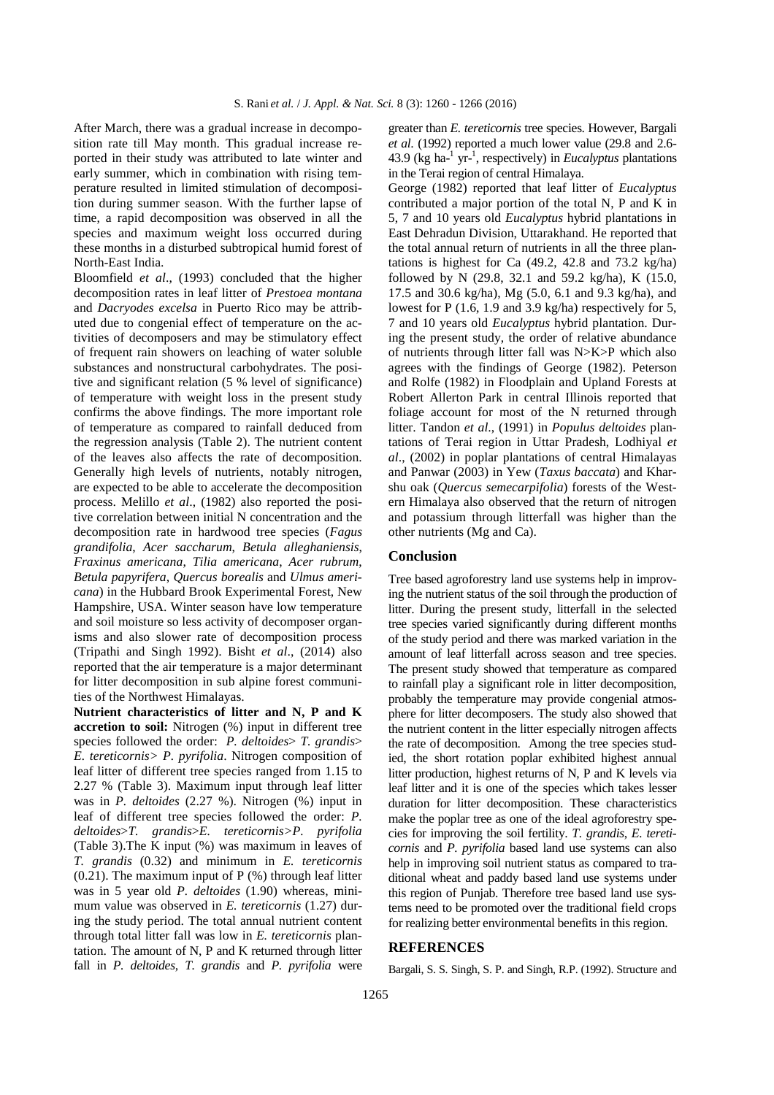After March, there was a gradual increase in decomposition rate till May month. This gradual increase reported in their study was attributed to late winter and early summer, which in combination with rising temperature resulted in limited stimulation of decomposition during summer season. With the further lapse of time, a rapid decomposition was observed in all the species and maximum weight loss occurred during these months in a disturbed subtropical humid forest of North-East India.

Bloomfield *et al*., (1993) concluded that the higher decomposition rates in leaf litter of *Prestoea montana* and *Dacryodes excelsa* in Puerto Rico may be attributed due to congenial effect of temperature on the activities of decomposers and may be stimulatory effect of frequent rain showers on leaching of water soluble substances and nonstructural carbohydrates. The positive and significant relation (5 % level of significance) of temperature with weight loss in the present study confirms the above findings. The more important role of temperature as compared to rainfall deduced from the regression analysis (Table 2). The nutrient content of the leaves also affects the rate of decomposition. Generally high levels of nutrients, notably nitrogen, are expected to be able to accelerate the decomposition process. Melillo *et al*., (1982) also reported the positive correlation between initial N concentration and the decomposition rate in hardwood tree species (*Fagus grandifolia*, *Acer saccharum*, *Betula alleghaniensis*, *Fraxinus americana*, *Tilia americana*, *Acer rubrum*, *Betula papyrifera*, *Quercus borealis* and *Ulmus americana*) in the Hubbard Brook Experimental Forest, New Hampshire, USA. Winter season have low temperature and soil moisture so less activity of decomposer organisms and also slower rate of decomposition process (Tripathi and Singh 1992). Bisht *et al*., (2014) also reported that the air temperature is a major determinant for litter decomposition in sub alpine forest communities of the Northwest Himalayas.

**Nutrient characteristics of litter and N, P and K accretion to soil:** Nitrogen (%) input in different tree species followed the order: *P. deltoides*> *T. grandis*> *E. tereticornis> P. pyrifolia*. Nitrogen composition of leaf litter of different tree species ranged from 1.15 to 2.27 % (Table 3). Maximum input through leaf litter was in *P. deltoides* (2.27 %). Nitrogen (%) input in leaf of different tree species followed the order: *P. deltoides*>*T. grandis*>*E. tereticornis>P. pyrifolia* (Table 3).The K input (%) was maximum in leaves of *T. grandis* (0.32) and minimum in *E. tereticornis*   $(0.21)$ . The maximum input of P $(\%)$  through leaf litter was in 5 year old *P. deltoides* (1.90) whereas, minimum value was observed in *E. tereticornis* (1.27) during the study period. The total annual nutrient content through total litter fall was low in *E. tereticornis* plantation. The amount of N, P and K returned through litter fall in *P. deltoides, T. grandis* and *P. pyrifolia* were

greater than *E. tereticornis* tree species. However, Bargali *et al*. (1992) reported a much lower value (29.8 and 2.6- 43.9 (kg ha-<sup>1</sup> yr-<sup>1</sup> , respectively) in *Eucalyptus* plantations in the Terai region of central Himalaya.

George (1982) reported that leaf litter of *Eucalyptus* contributed a major portion of the total N, P and K in 5, 7 and 10 years old *Eucalyptus* hybrid plantations in East Dehradun Division, Uttarakhand. He reported that the total annual return of nutrients in all the three plantations is highest for Ca (49.2, 42.8 and 73.2 kg/ha) followed by N (29.8, 32.1 and 59.2 kg/ha), K (15.0, 17.5 and 30.6 kg/ha), Mg (5.0, 6.1 and 9.3 kg/ha), and lowest for P (1.6, 1.9 and 3.9 kg/ha) respectively for 5, 7 and 10 years old *Eucalyptus* hybrid plantation. During the present study, the order of relative abundance of nutrients through litter fall was N>K>P which also agrees with the findings of George (1982). Peterson and Rolfe (1982) in Floodplain and Upland Forests at Robert Allerton Park in central Illinois reported that foliage account for most of the N returned through litter. Tandon *et al*., (1991) in *Populus deltoides* plantations of Terai region in Uttar Pradesh, Lodhiyal *et al*., (2002) in poplar plantations of central Himalayas and Panwar (2003) in Yew (*Taxus baccata*) and Kharshu oak (*Quercus semecarpifolia*) forests of the Western Himalaya also observed that the return of nitrogen and potassium through litterfall was higher than the other nutrients (Mg and Ca).

#### **Conclusion**

Tree based agroforestry land use systems help in improving the nutrient status of the soil through the production of litter. During the present study, litterfall in the selected tree species varied significantly during different months of the study period and there was marked variation in the amount of leaf litterfall across season and tree species. The present study showed that temperature as compared to rainfall play a significant role in litter decomposition, probably the temperature may provide congenial atmosphere for litter decomposers. The study also showed that the nutrient content in the litter especially nitrogen affects the rate of decomposition. Among the tree species studied, the short rotation poplar exhibited highest annual litter production, highest returns of N, P and K levels via leaf litter and it is one of the species which takes lesser duration for litter decomposition. These characteristics make the poplar tree as one of the ideal agroforestry species for improving the soil fertility. *T. grandis*, *E. tereticornis* and *P. pyrifolia* based land use systems can also help in improving soil nutrient status as compared to traditional wheat and paddy based land use systems under this region of Punjab. Therefore tree based land use systems need to be promoted over the traditional field crops for realizing better environmental benefits in this region.

#### **REFERENCES**

Bargali, S. S. Singh, S. P. and Singh, R.P. (1992). Structure and